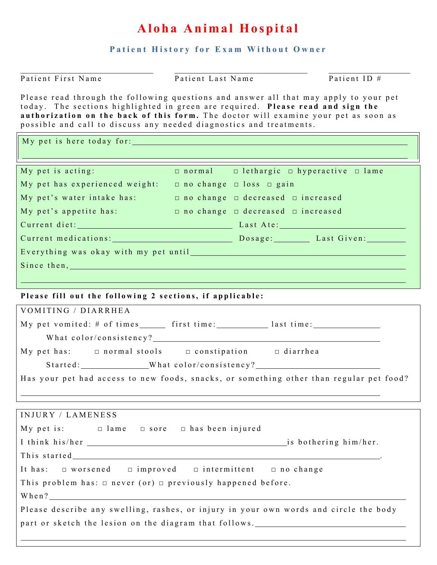## **Aloha Animal Hospital**

**Patient History for Exam Without Owner** 

| Patient First Name                                                                                                                                                                                                                                                                                                                     | Patient Last Name |                                                               | Patient ID # |
|----------------------------------------------------------------------------------------------------------------------------------------------------------------------------------------------------------------------------------------------------------------------------------------------------------------------------------------|-------------------|---------------------------------------------------------------|--------------|
| Please read through the following questions and answer all that may apply to your pet<br>today. The sections highlighted in green are required. Please read and sign the<br>authorization on the back of this form. The doctor will examine your pet as soon as<br>possible and call to discuss any needed diagnostics and treatments. |                   |                                                               |              |
| My pet is here today for:                                                                                                                                                                                                                                                                                                              |                   |                                                               |              |
| My pet is acting:                                                                                                                                                                                                                                                                                                                      |                   | $\Box$ normal $\Box$ lethargic $\Box$ hyperactive $\Box$ lame |              |
| My pet has experienced weight: $\Box$ no change $\Box$ loss $\Box$ gain                                                                                                                                                                                                                                                                |                   |                                                               |              |
| My pet's water intake has: $\Box$ no change $\Box$ decreased $\Box$ increased                                                                                                                                                                                                                                                          |                   |                                                               |              |
| My pet's appetite has:                                                                                                                                                                                                                                                                                                                 |                   | $\Box$ no change $\Box$ decreased $\Box$ increased            |              |
| Current diet: Last Ate:                                                                                                                                                                                                                                                                                                                |                   |                                                               |              |
| Current medications: Dosage: Last Given:                                                                                                                                                                                                                                                                                               |                   |                                                               |              |
|                                                                                                                                                                                                                                                                                                                                        |                   |                                                               |              |
| Since then, the contract of the contract of the contract of the contract of the contract of the contract of the contract of the contract of the contract of the contract of the contract of the contract of the contract of th                                                                                                         |                   |                                                               |              |
|                                                                                                                                                                                                                                                                                                                                        |                   |                                                               |              |
| Please fill out the following 2 sections, if applicable:                                                                                                                                                                                                                                                                               |                   |                                                               |              |
| VOMITING / DIARRHEA                                                                                                                                                                                                                                                                                                                    |                   |                                                               |              |
| My pet vomited: # of times _______ first time: ____________ last time: _________                                                                                                                                                                                                                                                       |                   |                                                               |              |
|                                                                                                                                                                                                                                                                                                                                        |                   |                                                               |              |
| My pet has: $\Box$ normal stools $\Box$ constipation $\Box$ diarrhea                                                                                                                                                                                                                                                                   |                   |                                                               |              |
|                                                                                                                                                                                                                                                                                                                                        |                   |                                                               |              |
| Has your pet had access to new foods, snacks, or something other than regular pet food?                                                                                                                                                                                                                                                |                   |                                                               |              |
|                                                                                                                                                                                                                                                                                                                                        |                   |                                                               |              |
| INJURY / LAMENESS                                                                                                                                                                                                                                                                                                                      |                   |                                                               |              |
| My pet is: $\Box$ lame $\Box$ sore $\Box$ has been injured                                                                                                                                                                                                                                                                             |                   |                                                               |              |
|                                                                                                                                                                                                                                                                                                                                        |                   |                                                               |              |
|                                                                                                                                                                                                                                                                                                                                        |                   |                                                               |              |
| It has: $\Box$ worsened $\Box$ improved $\Box$ intermittent $\Box$ no change                                                                                                                                                                                                                                                           |                   |                                                               |              |
| This problem has: $\Box$ never (or) $\Box$ previously happened before.                                                                                                                                                                                                                                                                 |                   |                                                               |              |
|                                                                                                                                                                                                                                                                                                                                        |                   |                                                               |              |
| Please describe any swelling, rashes, or injury in your own words and circle the body                                                                                                                                                                                                                                                  |                   |                                                               |              |